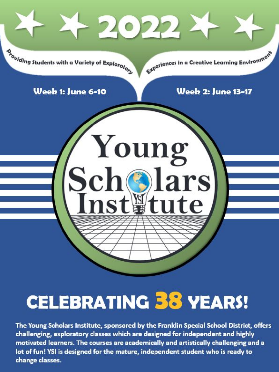

# **CELEBRATING 38 YEARS!**

The Young Scholars Institute, sponsored by the Franklin Special School District, offers challenging, exploratory classes which are designed for independent and highly motivated learners. The courses are academically and artistically challenging and a lot of fun! YSI is designed for the mature, independent student who is ready to change classes.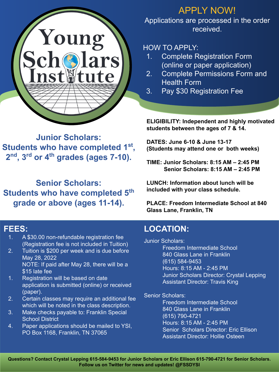

### APPLY NOW!

Applications are processed in the order received.

### HOW TO APPLY:

- 1. Complete Registration Form (online or paper application)
- 2. Complete Permissions Form and Health Form
- 3. Pay \$30 Registration Fee

**ELIGIBILITY: Independent and highly motivated students between the ages of 7 & 14.**

**DATES: June 6-10 & June 13-17 (Students may attend one or both weeks)**

**TIME: Junior Scholars: 8:15 AM – 2:45 PM Senior Scholars: 8:15 AM – 2:45 PM**

**LUNCH: Information about lunch will be included with your class schedule.**

> **PLACE: Freedom Intermediate School at 840 Glass Lane, Franklin, TN**

### **FEES:**

- 1. A \$30.00 non-refundable registration fee (Registration fee is not included in Tuition)
- 2. Tuition is \$200 per week and is due before May 28, 2022 NOTE: If paid after May 28, there will be a \$15 late fee
- 1. Registration will be based on date application is submitted (online) or received (paper).
- 2. Certain classes may require an additional fee which will be noted in the class description.
- 3. Make checks payable to: Franklin Special School District
- 4. Paper applications should be mailed to YSI, PO Box 1168, Franklin, TN 37065

### **LOCATION:**

Junior Scholars:

Freedom Intermediate School 840 Glass Lane in Franklin (615) 584-9453 Hours: 8:15 AM - 2:45 PM Junior Scholars Director: Crystal Lepping Assistant Director: Travis King

Senior Scholars:

Freedom Intermediate School 840 Glass Lane in Franklin (615) 790-4721 Hours: 8:15 AM - 2:45 PM Senior Scholars Director: Eric Ellison Assistant Director: Hollie Osteen

**Junior Scholars: Students who have completed 1st , 2nd, 3rd or 4th grades (ages 7-10).** 

**Senior Scholars: Students who have completed 5th grade or above (ages 11-14).**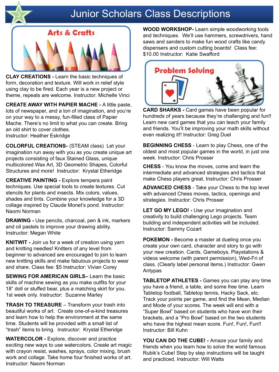

### **Junior Scholars Class Descriptions**



**CLAY CREATIONS -** Learn the basic techniques of form, decoration and texture. Will work in relief style using clay to be fired. Each year is a new project or theme, repeats are welcome. Instructor: Michelle Vinci

**CREATE AWAY WITH PAPIER MACHE -** A little paste, lots of newspaper, and a ton of imagination, and you're on your way to a messy, fun-filled class of Papier Mache. There's no limit to what you can create. Bring an old shirt to cover clothes. Instructor: Heather Eskridge

**COLORFUL CREATIONS-** (STEAM class) Let your imagination run away with you as you create unique art projects consisting of faux Stained Glass, unique multicolored Wax Art, 3D Geometric Shapes, Colorful Structures and more! Instructor: Krystal Etheridge

**CREATIVE PAINTING -** Explore tempera paint techniques. Use special tools to create textures. Cut stencils for plants and insects. Mix colors, values, shades and tints. Combine your knowledge for a 3D collage inspired by Claude Monet's pond. Instructor: Naomi Norman

**DRAWING -** Use pencils, charcoal, pen & ink, markers and oil pastels to improve your drawing ability. Instructor: Megan White

**KNITWIT -** Join us for a week of creation using yarn and knitting needles! Knitters of any level from beginner to advanced are encouraged to join to learn new knitting skills and make fabulous projects to wear and share. Class fee: \$5 Instructor: Vivian Corey

**SEWING FOR AMERICAN GIRLS–** Learn the basic skills of machine sewing as you make outfits for your 18" doll or stuffed bear, plus a matching skirt for you. 1st week only. Instructor: Suzanne Marley

**TRASH TO TREASURE** – Transform your trash into beautiful works of art. Create one-of-a-kind treasures and learn how to help the environment at the same time. Students will be provided with a small list of "trash" items to bring. Instructor: Krystal Etheridge

**WATERCOLOR -** Explore, discover and practice exciting new ways to use watercolors. Create art magic with crayon resist, washes, sprays, color mixing, brush work and collage. Take home four finished works of art. Instructor: Naomi Norman

**WOOD WORKSHOP-** Learn simple woodworking tools and techniques. We'll use hammers, screwdrivers, hand saws and sanders to make fun wood crafts like candy dispensers and custom cutting boards! Class fee: \$10.00 Instructor: Katie Swafford



**CARD SHARKS -** Card games have been popular for hundreds of years because they're challenging and fun!! Learn new card games that you can teach your family and friends. You'll be improving your math skills without even realizing it!! Instructor: Greg Duel

**BEGINNING CHESS** - Learn to play Chess, one of the oldest and most popular games in the world, in just one week. Instructor: Chris Prosser

**CHESS** - You know the moves, come and learn the intermediate and advanced strategies and tactics that make Chess players great. Instructor: Chris Prosser

**ADVANCED CHESS** - Take your Chess to the top level with advanced Chess moves, tactics, openings and strategies. Instructor: Chris Prosser

**LET GO MY LEGO! -** Use your imagination and creativity to build challenging Lego projects. Team building and independent activities will be included. Instructor: Sammy Cozart

**POKEMON -** Become a master at dueling once you create your own card, character and story to go with your new creation. Cards, Gameboys, Playstations & videos welcome (with parent permission), Wed-Fri of class. (Clearly label personal items.) Instructor: Gwen Antypas

**TABLETOP ATHLETES -** Games you can play any time you have a friend, a table, and some free time. Learn Tabletop football, Tabletop tennis, Hacky Sack, etc. Track your points per game, and find the Mean, Median and Mode of your scores. The week will end with a "Super Bowl" based on students who have won their brackets, and a "Pro Bowl" based on the two students who have the highest mean score. Fun!, Fun!, Fun!! Instructor: Bill Kuhn

**YOU CAN DO THE CUBE! -** Amaze your family and friends when you learn how to solve the world famous Rubik's Cube! Step by step instructions will be taught and practiced. Instructor: Will Watts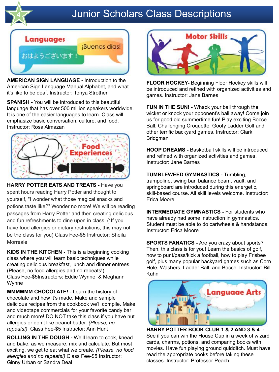

# **Junior Scholars Class Descriptions**



**AMERICAN SIGN LANGUAGE -** Introduction to the American Sign Language Manual Alphabet, and what it's like to be deaf. Instructor: Tonya Strother

**SPANISH -** You will be introduced to this beautiful language that has over 500 million speakers worldwide. It is one of the easier languages to learn. Class will emphasize basic conversation, culture, and food. Instructor: Rosa Almazan



**HARRY POTTER EATS AND TREATS -** Have you spent hours reading Harry Potter and thought to yourself, "I wonder what those magical snacks and potions taste like?" Wonder no more! We will be reading passages from Harry Potter and then creating delicious and fun refreshments to dine upon in class. (\*If you have food allergies or dietary restrictions, this may not be the class for you) Class Fee-\$5 Instructor: Sheila **Morreale** 

**KIDS IN THE KITCHEN -** This is a beginning cooking class where you will learn basic techniques while creating delicious breakfast, lunch and dinner entrees. (Please, no food allergies and no repeats!) Class Fee-\$5Instructors: Eddie Wynne & Meghann Wynne

**MMMMMM CHOCOLATE! -** Learn the history of chocolate and how it's made. Make and sample delicious recipes from the cookbook we'll compile. Make and videotape commercials for your favorite candy bar and much more! DO NOT take this class if you have nut allergies or don't like peanut butter. *(Please, no repeats!)* Class Fee-\$5 Instructor: Ann Hunt

**ROLLING IN THE DOUGH -** We'll learn to cook, knead and bake, as we measure, mix and calculate. But most exciting, we get to eat what we create. *(Please, no food allergies and no repeats!)* Class Fee-\$5 Instructor: Ginny Urban or Sandra Deal



**FLOOR HOCKEY-** Beginning Floor Hockey skills will be introduced and refined with organized activities and games. Instructor: Jane Barnes

**FUN IN THE SUN! -** Whack your ball through the wicket or knock your opponent's ball away! Come join us for good old summertime fun! Play exciting Bocce Ball, Challenging Croquette, Goofy Ladder Golf and other terrific backyard games. Instructor: Clark Bridgman

**HOOP DREAMS -** Basketball skills will be introduced and refined with organized activities and games. Instructor: Jane Barnes

**TUMBLEWEED GYMNASTICS -** Tumbling, trampoline, swing bar, balance beam, vault, and springboard are introduced during this energetic, skill-based course. All skill levels welcome. Instructor: Erica Moore

**INTERMEDIATE GYMNASTICS - For students who** have already had some instruction in gymnastics. Student must be able to do cartwheels & handstands. Instructor: Erica Moore

**SPORTS FANATICS -** Are you crazy about sports? Then, this class is for you! Learn the basics of golf, how to punt/pass/kick a football, how to play Frisbee golf, plus many popular backyard games such as Corn Hole, Washers, Ladder Ball, and Bocce. Instructor: Bill Kuhn



**HARRY POTTER BOOK CLUB 1 & 2 AND 3 & 4 -**  See if you can win the House Cup in a week of wizard cards, charms, potions, and comparing books with movies. Have fun playing ground quidditch. Must have read the appropriate books before taking these classes. Instructor: Professor Peach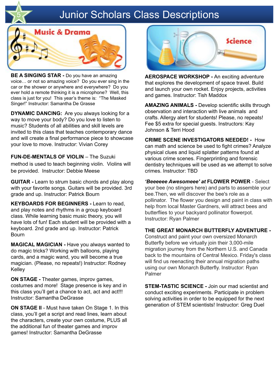## **Junior Scholars Class Descriptions**



**BE A SINGING STAR -** Do you have an amazing voice… or not so amazing voice? Do you ever sing in the car or the shower or anywhere and everywhere? Do you ever hold a remote thinking it is a microphone? Well, this class is just for you! This year's theme is: "The Masked Singer!" Instructor: Samantha De Grasse

**DYNAMIC DANCING:** Are you always looking for a way to move your body? Do you love to listen to music? Students of all abilities and skill levels are invited to this class that teaches contemporary dance and will create a final performance piece to showcase your love to move. Instructor: Vivian Corey

**FUN-DE-MENTALS OF VIOLIN** – The Suzuki method is used to teach beginning violin. Violins will be provided. Instructor: Debbie Meese

**GUITAR -** Learn to strum basic chords and play along with your favorite songs. Guitars will be provided. 3rd grade and up. Instructor: Patrick Bourn

**KEYBOARDS FOR BEGINNERS -** Learn to read, and play notes and rhythms in a group keyboard class. While learning basic music theory, you will have lots of fun! Each student will be provided with a keyboard. 2nd grade and up. Instructor: Patrick Bourn

**MAGICAL MAGICIAN -** Have you always wanted to do magic tricks? Working with balloons, playing cards, and a magic wand, you will become a true magician. (Please, no repeats!) Instructor: Rodney Kelley

**ON STAGE -** Theater games, improv games, costumes and more! Stage presence is key and in this class you'll get a chance to act, act and act!!! Instructor: Samantha DeGrasse

**ON STAGE II** - Must have taken On Stage 1. In this class, you'll get a script and read lines, learn about the characters, create your own costume, PLUS all the additional fun of theater games and improv games! Instructor: Samantha DeGrasse



**AEROSPACE WORKSHOP -** An exciting adventure that explores the development of space travel. Build and launch your own rocket. Enjoy projects, activities and games. Instructor: Tish Maddox

**AMAZING ANIMALS -** Develop scientific skills through observation and interaction with live animals and crafts. Allergy alert for students! Please, no repeats! Fee \$5 extra for special guests. Instructors: Kay Johnson & Terri Hood

**CRIME SCENE INVESTIGATORS NEEDED! -** How can math and science be used to fight crimes? Analyze physical clues and liquid splatter patterns found at various crime scenes. Fingerprinting and forensic dentistry techniques will be used as we attempt to solve crimes. Instructor: TBD

*'Beeeeee Awesomeee' at* **FLOWER POWER** - Select your bee (no stingers here) and parts to assemble your bee.Then, we will discover the bee's role as a pollinator. The flower you design and paint in class with help from local Master Gardners, will attract bees and butterflies to your backyard pollinator flowerpot. Instructor: Ryan Palmer

#### **THE GREAT MONARCH BUTTERFLY ADVENTURE -**

Construct and paint your own oversized Monarch Butterfly before we virtually join their 3,000-mile migration journey from the Northern U.S. and Canada back to the mountains of Central Mexico. Friday's class will find us reenacting their annual migration paths using our own Monarch Butterfly. Instructor: Ryan Palmer

**STEM-TASTIC SCIENCE -** Join our mad scientist and conduct exciting experiments. Participate in problem solving activities in order to be equipped for the next generation of STEM scientists! Instructor: Greg Duel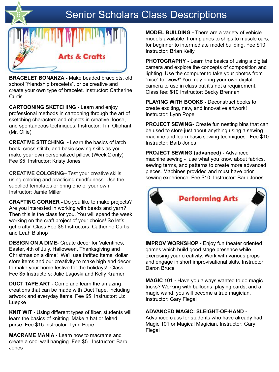# Senior Scholars Class Descriptions



**BRACELET BONANZA -** Make beaded bracelets, old school "friendship bracelets", or be creative and create your own type of bracelet. Instructor: Catherine **Curtis** 

**CARTOONING SKETCHING -** Learn and enjoy professional methods in cartooning through the art of sketching characters and objects in creative, loose, and spontaneous techniques. Instructor: Tim Oliphant (Mr. Ollie)

**CREATIVE STITCHING -** Learn the basics of latch hook, cross stitch, and basic sewing skills as you make your own personalized pillow. (Week 2 only) Fee \$5 Instructor: Kristy Jones

**CREATIVE COLORING–** Test your creative skills using coloring and practicing mindfulness. Use the supplied templates or bring one of your own. Instructor: Jamie Miller

**CRAFTING CORNER -** Do you like to make projects? Are you interested in working with beads and yarn? Then this is the class for you. You will spend the week working on the craft project of your choice! So let's get crafty! Class Fee \$5 Instructors: Catherine Curtis and Leah Bishop

**DESIGN ON A DIME**- Create decor for Valentines, Easter, 4th of July, Halloween, Thanksgiving and Christmas on a dime! We'll use thrifted items, dollar store items and our creativity to make high end decor to make your home festive for the holidays! Class Fee \$5 Instructors: Julie Lagoski and Kelly Kramer

**DUCT TAPE ART -** Come and learn the amazing creations that can be made with Duct Tape, including artwork and everyday items. Fee \$5 Instructor: Liz Luepke

**KNIT WIT -** Using different types of fiber, students will learn the basics of knitting. Make a hat or felted purse. Fee \$15 Instructor: Lynn Pope

**MACRAME MANIA -** Learn how to macrame and create a cool wall hanging. Fee \$5 Instructor: Barb Jones

**MODEL BUILDING -** There are a variety of vehicle models available, from planes to ships to muscle cars, for beginner to intermediate model building. Fee \$10 Instructor: Brian Kelly

**PHOTOGRAPHY -** Learn the basics of using a digital camera and explore the concepts of composition and lighting. Use the computer to take your photos from "nice" to "wow!" You may bring your own digital camera to use in class but it's not a requirement. Class fee: \$10 Instructor: Becky Brennan

**PLAYING WITH BOOKS -** Deconstruct books to create exciting, new, and innovative artwork! Instructor: Lynn Pope

**PROJECT SEWING-** Create fun nesting bins that can be used to store just about anything using a sewing machine and learn basic sewing techniques. Fee \$10 Instructor: Barb Jones

**PROJECT SEWING (advanced) -** Advanced machine sewing - use what you know about fabrics, sewing terms, and patterns to create more advanced pieces. Machines provided and must have prior sewing experience. Fee \$10 Instructor: Barb Jones



**IMPROV WORKSHOP -** Enjoy fun theater oriented games which build good stage presence while exercising your creativity. Work with various props and engage in short improvisational skits. Instructor: Daron Bruce

**MAGIC 101 -** Have you always wanted to do magic tricks? Working with balloons, playing cards, and a magic wand, you will become a true magician. Instructor: Gary Flegal

#### **ADVANCED MAGIC: SLEIGHT-OF-HAND -**

Advanced class for students who have already had Magic 101 or Magical Magician. Instructor: Gary Flegal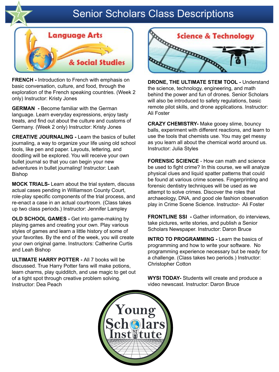

## **Senior Scholars Class Descriptions**



**FRENCH -** Introduction to French with emphasis on basic conversation, culture, and food, through the exploration of the French speaking countries. (Week 2 only) Instructor: Kristy Jones

**GERMAN -** Become familiar with the German language. Learn everyday expressions, enjoy tasty treats, and find out about the culture and customs of Germany. (Week 2 only) Instructor: Kristy Jones

**CREATIVE JOURNALING -** Learn the basics of bullet journaling, a way to organize your life using old school tools, like pen and paper. Layouts, lettering, and doodling will be explored. You will receive your own bullet journal so that you can begin your new adventures in bullet journaling! Instructor: Leah Bishop

**MOCK TRIALS-** Learn about the trial system, discuss actual cases pending in Williamson County Court, role-play specific components of the trial process, and re-enact a case in an actual courtroom. (Class takes up two class periods.) Instructor: Jennifer Lampley

**OLD SCHOOL GAMES -** Get into game-making by playing games and creating your own. Play various styles of games and learn a little history of some of your favorites. By the end of the week, you will create your own original game. Instructors: Catherine Curtis and Leah Bishop

**ULTIMATE HARRY POTTER -** All 7 books will be discussed. True Harry Potter fans will make potions, learn charms, play quidditch, and use magic to get out of a tight spot through creative problem solving. Instructor: Dea Peach



**DRONE, THE ULTIMATE STEM TOOL -** Understand the science, technology, engineering, and math behind the power and fun of drones. Senior Scholars will also be introduced to safety regulations, basic remote pilot skills, and drone applications. Instructor: Ali Foster

**CRAZY CHEMISTRY-** Make gooey slime, bouncy balls, experiment with different reactions, and learn to use the tools that chemists use. You may get messy as you learn all about the chemical world around us. Instructor: Julia Styles

**FORENSIC SCIENCE** - How can math and science be used to fight crime? In this course, we will analyze physical clues and liquid spatter patterns that could be found at various crime scenes. Fingerprinting and forensic dentistry techniques will be used as we attempt to solve crimes. Discover the roles that archaeology, DNA, and good ole fashion observation play in Crime Scene Science. Instructor- Ali Foster

**FRONTLINE SSI -** Gather information, do interviews, take pictures, write stories, and publish a Senior Scholars Newspaper. Instructor: Daron Bruce

**INTRO TO PROGRAMMING -** Learn the basics of programming and how to write your software. No programming experience necessary but be ready for a challenge. (Class takes two periods.) Instructor: Christopher Cotton

**WYSI TODAY-** Students will create and produce a video newscast. Instructor: Daron Bruce

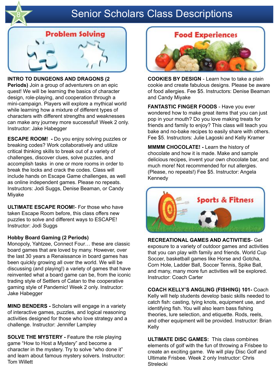

# **Senior Scholars Class Descriptions**



**INTRO TO DUNGEONS AND DRAGONS (2 Periods)** Join a group of adventurers on an epic quest! We will be learning the basics of character design, role-playing, and cooperation through a mini-campaign. Players will explore a mythical world while learning how a mixture of different types of characters with different strengths and weaknesses can make any journey more successful! Week 2 only. Instructor: Jake Habegger

**ESCAPE ROOM! -** Do you enjoy solving puzzles or breaking codes? Work collaboratively and utilize critical thinking skills to break out of a variety of challenges, discover clues, solve puzzles, and accomplish tasks in one or more rooms in order to break the locks and crack the codes. Class will include hands on Escape Game challenges, as well as online independent games. Please no repeats. Instructors: Jodi Suggs, Denise Beaman, or Candy Miyake

**ULTIMATE ESCAPE ROOM!**- For those who have taken Escape Room before, this class offers new puzzles to solve and different ways to ESCAPE! Instructor: Jodi Suggs

#### **Hobby Board Gaming (2 Periods)**

Monopoly, Yahtzee, Connect Four… these are classic board games that are loved by many. However, over the last 30 years a Renaissance in board games has been quickly growing all over the world. We will be discussing (and playing!) a variety of games that have reinvented what a board game can be, from the iconic trading style of Settlers of Catan to the cooperative gaming style of Pandemic! Week 2 only. Instructor: Jake Habegger

**MIND BENDERS -** Scholars will engage in a variety of interactive games, puzzles, and logical reasoning activities designed for those who love strategy and a challenge. Instructor: Jennifer Lampley

**SOLVE THE MYSTERY - Feature the role playing** game "How to Host a Mystery" and become a character in the mystery. Try to solve "who done it" and learn about famous mystery solvers. Instructor: Tom Willett



**COOKIES BY DESIGN** - Learn how to take a plain cookie and create fabulous designs. Please be aware of food allergies. Fee \$5. Instructors: Denise Beaman and Candy Miyake

**FANTASTIC FINGER FOODS** - Have you ever wondered how to make great items that you can just pop in your mouth? Do you love making treats for friends and family to enjoy? This class will teach you bake and no-bake recipes to easily share with others. Fee \$5. Instructors: Julie Lagoski and Kelly Kramer

**MMMM CHOCOLATE! -** Learn the history of chocolate and how it is made. Make and sample delicious recipes, invent your own chocolate bar, and much more! Not recommended for nut allergies. (Please, no repeats!) Fee \$5. Instructor: Angela Kennedy



**RECREATIONAL GAMES AND ACTIVITIES**- Get exposure to a variety of outdoor games and activities that you can play with family and friends. World Cup Soccer, basketball games like Horse and Gotcha, Corn Hole, Ladder Ball, Soccer Tennis, Spike Ball, and many, many more fun activities will be explored. Instructor: Coach Carter

**COACH KELLY'S ANGLING (FISHING) 101-** Coach Kelly will help students develop basic skills needed to catch fish: casting, tying knots, equipment use, and identifying fish. You will also learn bass fishing theories, lure selection, and etiquette. Rods, reels, and other equipment will be provided. Instructor: Brian Kelly

**ULTIMATE DISC GAMES:** This class combines elements of golf with the fun of throwing a Frisbee to create an exciting game. We will play Disc Golf and Ultimate Frisbee. Week 2 only Instructor: Chris **Strelecki**